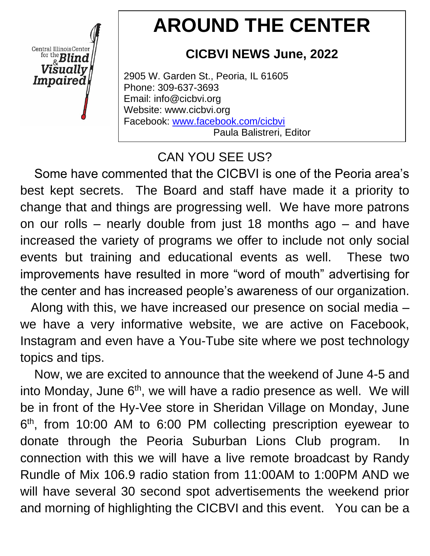Central Illinois Center for the  $B$ lind Visuallv Impaired

# **AROUND THE CENTER**

# **CICBVI NEWS June, 2022**

2905 W. Garden St., Peoria, IL 61605 Phone: 309-637-3693 Email: info@cicbvi.org Website: www.cicbvi.org Facebook: [www.facebook.com/cicbvi](http://www.facebook.com/cicbvi) Paula Balistreri, Editor

# CAN YOU SEE US?

 Some have commented that the CICBVI is one of the Peoria area's best kept secrets. The Board and staff have made it a priority to change that and things are progressing well. We have more patrons on our rolls – nearly double from just 18 months ago – and have increased the variety of programs we offer to include not only social events but training and educational events as well. These two improvements have resulted in more "word of mouth" advertising for the center and has increased people's awareness of our organization.

 Along with this, we have increased our presence on social media – we have a very informative website, we are active on Facebook, Instagram and even have a You-Tube site where we post technology topics and tips.

 Now, we are excited to announce that the weekend of June 4-5 and into Monday, June  $6<sup>th</sup>$ , we will have a radio presence as well. We will be in front of the Hy-Vee store in Sheridan Village on Monday, June 6<sup>th</sup>, from 10:00 AM to 6:00 PM collecting prescription eyewear to donate through the Peoria Suburban Lions Club program. In connection with this we will have a live remote broadcast by Randy Rundle of Mix 106.9 radio station from 11:00AM to 1:00PM AND we will have several 30 second spot advertisements the weekend prior and morning of highlighting the CICBVI and this event. You can be a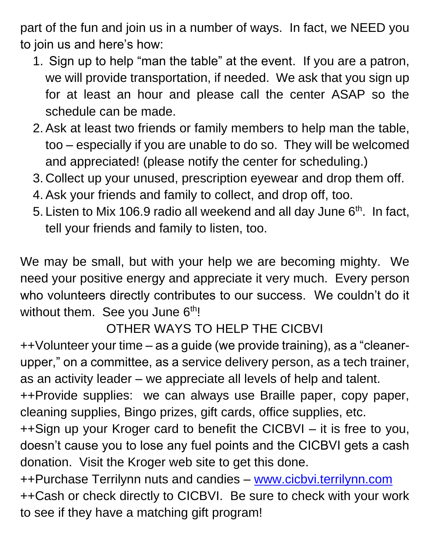part of the fun and join us in a number of ways. In fact, we NEED you to join us and here's how:

- 1. Sign up to help "man the table" at the event. If you are a patron, we will provide transportation, if needed. We ask that you sign up for at least an hour and please call the center ASAP so the schedule can be made.
- 2. Ask at least two friends or family members to help man the table, too – especially if you are unable to do so. They will be welcomed and appreciated! (please notify the center for scheduling.)
- 3. Collect up your unused, prescription eyewear and drop them off.
- 4. Ask your friends and family to collect, and drop off, too.
- 5. Listen to Mix 106.9 radio all weekend and all day June  $6<sup>th</sup>$ . In fact, tell your friends and family to listen, too.

We may be small, but with your help we are becoming mighty. We need your positive energy and appreciate it very much. Every person who volunteers directly contributes to our success. We couldn't do it without them. See you June  $6<sup>th</sup>$ !

# OTHER WAYS TO HELP THE CICBVI

++Volunteer your time – as a guide (we provide training), as a "cleanerupper," on a committee, as a service delivery person, as a tech trainer, as an activity leader – we appreciate all levels of help and talent.

++Provide supplies: we can always use Braille paper, copy paper, cleaning supplies, Bingo prizes, gift cards, office supplies, etc.

++Sign up your Kroger card to benefit the CICBVI – it is free to you, doesn't cause you to lose any fuel points and the CICBVI gets a cash donation. Visit the Kroger web site to get this done.

++Purchase Terrilynn nuts and candies – [www.cicbvi.terrilynn.com](http://www.cicbvi.terrilynn.com/) ++Cash or check directly to CICBVI. Be sure to check with your work to see if they have a matching gift program!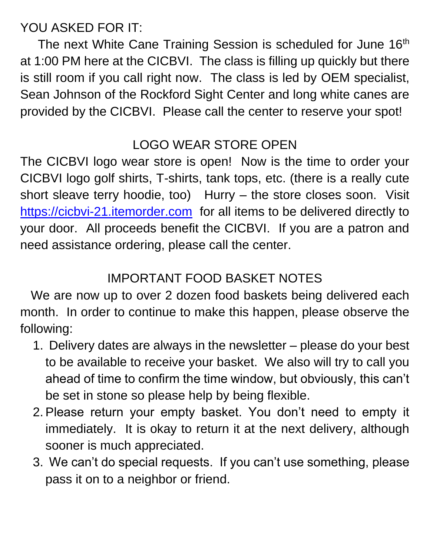YOU ASKED FOR IT:

The next White Cane Training Session is scheduled for June 16<sup>th</sup> at 1:00 PM here at the CICBVI. The class is filling up quickly but there is still room if you call right now. The class is led by OEM specialist, Sean Johnson of the Rockford Sight Center and long white canes are provided by the CICBVI. Please call the center to reserve your spot!

#### LOGO WEAR STORE OPEN

The CICBVI logo wear store is open! Now is the time to order your CICBVI logo golf shirts, T-shirts, tank tops, etc. (there is a really cute short sleave terry hoodie, too) Hurry – the store closes soon. Visit [https://cicbvi-21.itemorder.com](https://cicbvi-21.itemorder.com/) for all items to be delivered directly to your door. All proceeds benefit the CICBVI. If you are a patron and need assistance ordering, please call the center.

## IMPORTANT FOOD BASKET NOTES

 We are now up to over 2 dozen food baskets being delivered each month. In order to continue to make this happen, please observe the following:

- 1. Delivery dates are always in the newsletter please do your best to be available to receive your basket. We also will try to call you ahead of time to confirm the time window, but obviously, this can't be set in stone so please help by being flexible.
- 2. Please return your empty basket. You don't need to empty it immediately. It is okay to return it at the next delivery, although sooner is much appreciated.
- 3. We can't do special requests. If you can't use something, please pass it on to a neighbor or friend.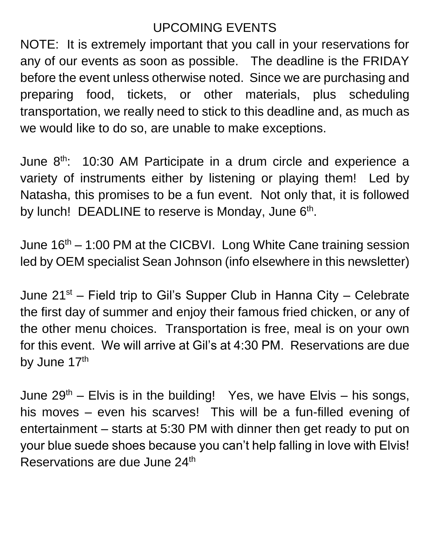## UPCOMING EVENTS

NOTE: It is extremely important that you call in your reservations for any of our events as soon as possible. The deadline is the FRIDAY before the event unless otherwise noted. Since we are purchasing and preparing food, tickets, or other materials, plus scheduling transportation, we really need to stick to this deadline and, as much as we would like to do so, are unable to make exceptions.

June 8th: 10:30 AM Participate in a drum circle and experience a variety of instruments either by listening or playing them! Led by Natasha, this promises to be a fun event. Not only that, it is followed by lunch! DEADLINE to reserve is Monday, June  $6<sup>th</sup>$ .

June  $16<sup>th</sup> - 1:00$  PM at the CICBVI. Long White Cane training session led by OEM specialist Sean Johnson (info elsewhere in this newsletter)

June  $21^{st}$  – Field trip to Gil's Supper Club in Hanna City – Celebrate the first day of summer and enjoy their famous fried chicken, or any of the other menu choices. Transportation is free, meal is on your own for this event. We will arrive at Gil's at 4:30 PM. Reservations are due by June 17th

June  $29<sup>th</sup>$  – Elvis is in the building! Yes, we have Elvis – his songs, his moves – even his scarves! This will be a fun-filled evening of entertainment – starts at 5:30 PM with dinner then get ready to put on your blue suede shoes because you can't help falling in love with Elvis! Reservations are due June 24<sup>th</sup>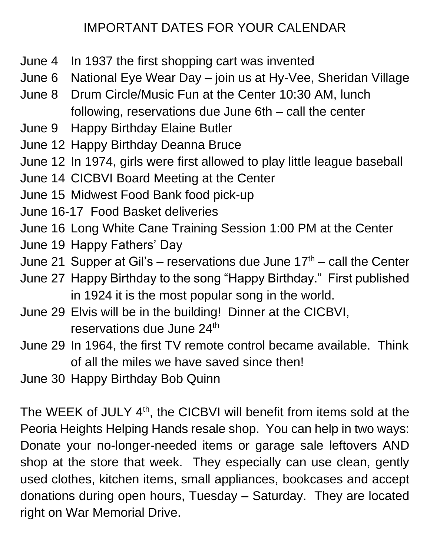## IMPORTANT DATES FOR YOUR CALENDAR

- June 4 In 1937 the first shopping cart was invented
- June 6 National Eye Wear Day join us at Hy-Vee, Sheridan Village
- June 8 Drum Circle/Music Fun at the Center 10:30 AM, lunch following, reservations due June 6th – call the center
- June 9 Happy Birthday Elaine Butler
- June 12 Happy Birthday Deanna Bruce
- June 12 In 1974, girls were first allowed to play little league baseball
- June 14 CICBVI Board Meeting at the Center
- June 15 Midwest Food Bank food pick-up
- June 16-17 Food Basket deliveries
- June 16 Long White Cane Training Session 1:00 PM at the Center
- June 19 Happy Fathers' Day
- June 21 Supper at Gil's reservations due June  $17<sup>th</sup>$  call the Center
- June 27 Happy Birthday to the song "Happy Birthday." First published in 1924 it is the most popular song in the world.
- June 29 Elvis will be in the building! Dinner at the CICBVI, reservations due June 24<sup>th</sup>
- June 29 In 1964, the first TV remote control became available. Think of all the miles we have saved since then!
- June 30 Happy Birthday Bob Quinn

The WEEK of JULY 4<sup>th</sup>, the CICBVI will benefit from items sold at the Peoria Heights Helping Hands resale shop. You can help in two ways: Donate your no-longer-needed items or garage sale leftovers AND shop at the store that week. They especially can use clean, gently used clothes, kitchen items, small appliances, bookcases and accept donations during open hours, Tuesday – Saturday. They are located right on War Memorial Drive.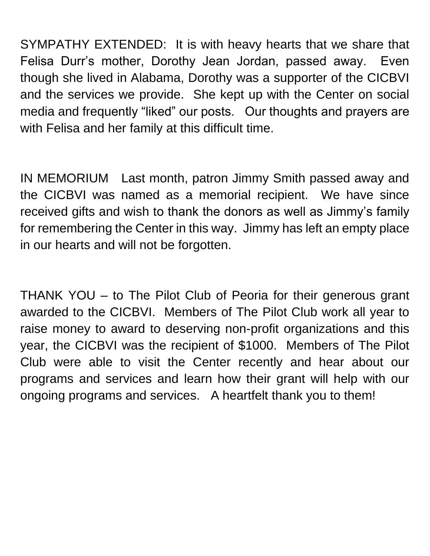SYMPATHY EXTENDED: It is with heavy hearts that we share that Felisa Durr's mother, Dorothy Jean Jordan, passed away. Even though she lived in Alabama, Dorothy was a supporter of the CICBVI and the services we provide. She kept up with the Center on social media and frequently "liked" our posts. Our thoughts and prayers are with Felisa and her family at this difficult time.

IN MEMORIUM Last month, patron Jimmy Smith passed away and the CICBVI was named as a memorial recipient. We have since received gifts and wish to thank the donors as well as Jimmy's family for remembering the Center in this way. Jimmy has left an empty place in our hearts and will not be forgotten.

THANK YOU – to The Pilot Club of Peoria for their generous grant awarded to the CICBVI. Members of The Pilot Club work all year to raise money to award to deserving non-profit organizations and this year, the CICBVI was the recipient of \$1000. Members of The Pilot Club were able to visit the Center recently and hear about our programs and services and learn how their grant will help with our ongoing programs and services. A heartfelt thank you to them!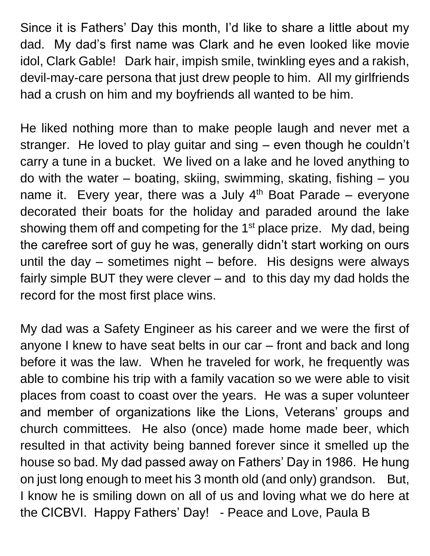Since it is Fathers' Day this month, I'd like to share a little about my dad. My dad's first name was Clark and he even looked like movie idol, Clark Gable! Dark hair, impish smile, twinkling eyes and a rakish, devil-may-care persona that just drew people to him. All my girlfriends had a crush on him and my boyfriends all wanted to be him.

He liked nothing more than to make people laugh and never met a stranger. He loved to play guitar and sing – even though he couldn't carry a tune in a bucket. We lived on a lake and he loved anything to do with the water – boating, skiing, swimming, skating, fishing – you name it. Every year, there was a July  $4<sup>th</sup>$  Boat Parade – everyone decorated their boats for the holiday and paraded around the lake showing them off and competing for the  $1<sup>st</sup>$  place prize. My dad, being the carefree sort of guy he was, generally didn't start working on ours until the day – sometimes night – before. His designs were always fairly simple BUT they were clever – and to this day my dad holds the record for the most first place wins.

My dad was a Safety Engineer as his career and we were the first of anyone I knew to have seat belts in our car – front and back and long before it was the law. When he traveled for work, he frequently was able to combine his trip with a family vacation so we were able to visit places from coast to coast over the years. He was a super volunteer and member of organizations like the Lions, Veterans' groups and church committees. He also (once) made home made beer, which resulted in that activity being banned forever since it smelled up the house so bad. My dad passed away on Fathers' Day in 1986. He hung on just long enough to meet his 3 month old (and only) grandson. But, I know he is smiling down on all of us and loving what we do here at the CICBVI. Happy Fathers' Day! - Peace and Love, Paula B